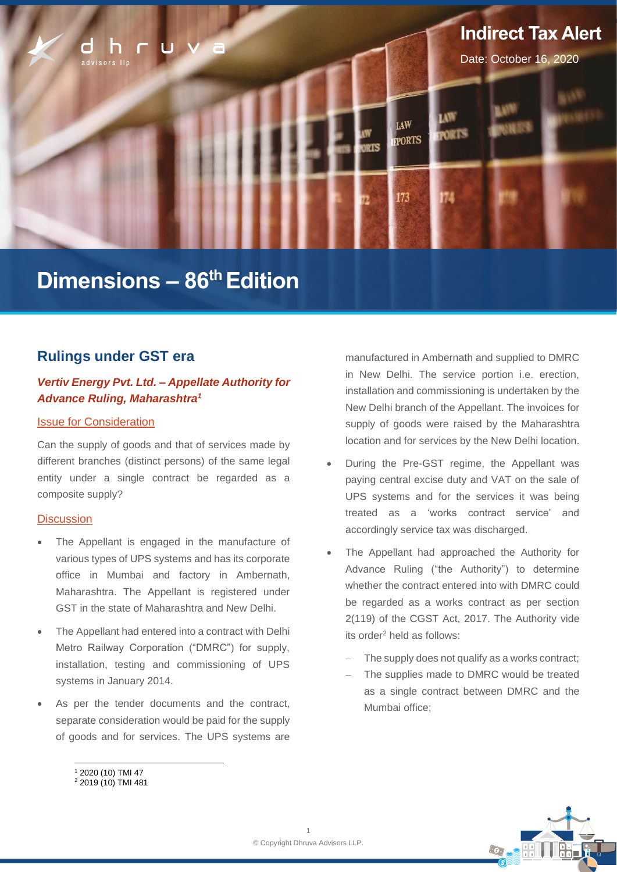

# **Dimensions – 86 thEdition**

# **Rulings under GST era**

# *Vertiv Energy Pvt. Ltd. – Appellate Authority for Advance Ruling, Maharashtra<sup>1</sup>*

#### Issue for Consideration

Can the supply of goods and that of services made by different branches (distinct persons) of the same legal entity under a single contract be regarded as a composite supply?

#### **Discussion**

- The Appellant is engaged in the manufacture of various types of UPS systems and has its corporate office in Mumbai and factory in Ambernath, Maharashtra. The Appellant is registered under GST in the state of Maharashtra and New Delhi.
- The Appellant had entered into a contract with Delhi Metro Railway Corporation ("DMRC") for supply, installation, testing and commissioning of UPS systems in January 2014.
- As per the tender documents and the contract, separate consideration would be paid for the supply of goods and for services. The UPS systems are

manufactured in Ambernath and supplied to DMRC in New Delhi. The service portion i.e. erection, installation and commissioning is undertaken by the New Delhi branch of the Appellant. The invoices for supply of goods were raised by the Maharashtra location and for services by the New Delhi location.

- During the Pre-GST regime, the Appellant was paying central excise duty and VAT on the sale of UPS systems and for the services it was being treated as a 'works contract service' and accordingly service tax was discharged.
- The Appellant had approached the Authority for Advance Ruling ("the Authority") to determine whether the contract entered into with DMRC could be regarded as a works contract as per section 2(119) of the CGST Act, 2017. The Authority vide its order<sup>2</sup> held as follows:
	- The supply does not qualify as a works contract;
	- The supplies made to DMRC would be treated as a single contract between DMRC and the Mumbai office;



<sup>1</sup> 2020 (10) TMI 47

<sup>2</sup> 2019 (10) TMI 481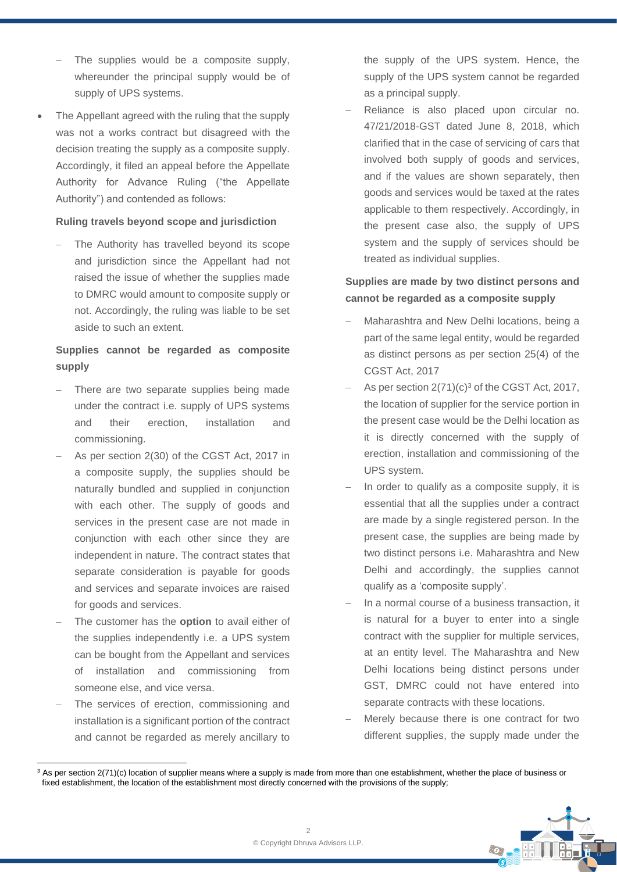- The supplies would be a composite supply, whereunder the principal supply would be of supply of UPS systems.
- The Appellant agreed with the ruling that the supply was not a works contract but disagreed with the decision treating the supply as a composite supply. Accordingly, it filed an appeal before the Appellate Authority for Advance Ruling ("the Appellate Authority") and contended as follows:

#### **Ruling travels beyond scope and jurisdiction**

The Authority has travelled beyond its scope and jurisdiction since the Appellant had not raised the issue of whether the supplies made to DMRC would amount to composite supply or not. Accordingly, the ruling was liable to be set aside to such an extent.

# **Supplies cannot be regarded as composite supply**

- There are two separate supplies being made under the contract i.e. supply of UPS systems and their erection, installation and commissioning.
- − As per section 2(30) of the CGST Act, 2017 in a composite supply, the supplies should be naturally bundled and supplied in conjunction with each other. The supply of goods and services in the present case are not made in conjunction with each other since they are independent in nature. The contract states that separate consideration is payable for goods and services and separate invoices are raised for goods and services.
- The customer has the **option** to avail either of the supplies independently i.e. a UPS system can be bought from the Appellant and services of installation and commissioning from someone else, and vice versa.
- The services of erection, commissioning and installation is a significant portion of the contract and cannot be regarded as merely ancillary to

the supply of the UPS system. Hence, the supply of the UPS system cannot be regarded as a principal supply.

Reliance is also placed upon circular no. 47/21/2018-GST dated June 8, 2018, which clarified that in the case of servicing of cars that involved both supply of goods and services, and if the values are shown separately, then goods and services would be taxed at the rates applicable to them respectively. Accordingly, in the present case also, the supply of UPS system and the supply of services should be treated as individual supplies.

# **Supplies are made by two distinct persons and cannot be regarded as a composite supply**

- Maharashtra and New Delhi locations, being a part of the same legal entity, would be regarded as distinct persons as per section 25(4) of the CGST Act, 2017
- As per section 2(71)(c)<sup>3</sup> of the CGST Act, 2017, the location of supplier for the service portion in the present case would be the Delhi location as it is directly concerned with the supply of erection, installation and commissioning of the UPS system.
- In order to qualify as a composite supply, it is essential that all the supplies under a contract are made by a single registered person. In the present case, the supplies are being made by two distinct persons i.e. Maharashtra and New Delhi and accordingly, the supplies cannot qualify as a 'composite supply'.
- In a normal course of a business transaction, it is natural for a buyer to enter into a single contract with the supplier for multiple services, at an entity level. The Maharashtra and New Delhi locations being distinct persons under GST, DMRC could not have entered into separate contracts with these locations.
- Merely because there is one contract for two different supplies, the supply made under the

 $3$  As per section 2(71)(c) location of supplier means where a supply is made from more than one establishment, whether the place of business or fixed establishment, the location of the establishment most directly concerned with the provisions of the supply;

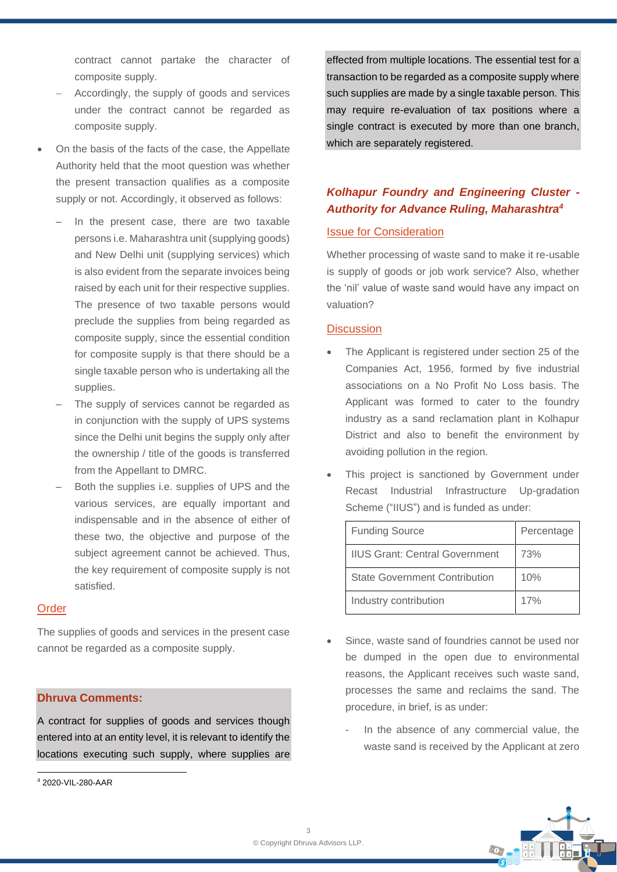contract cannot partake the character of composite supply.

- Accordingly, the supply of goods and services under the contract cannot be regarded as composite supply.
- On the basis of the facts of the case, the Appellate Authority held that the moot question was whether the present transaction qualifies as a composite supply or not. Accordingly, it observed as follows:
	- In the present case, there are two taxable persons i.e. Maharashtra unit (supplying goods) and New Delhi unit (supplying services) which is also evident from the separate invoices being raised by each unit for their respective supplies. The presence of two taxable persons would preclude the supplies from being regarded as composite supply, since the essential condition for composite supply is that there should be a single taxable person who is undertaking all the supplies.
	- The supply of services cannot be regarded as in conjunction with the supply of UPS systems since the Delhi unit begins the supply only after the ownership / title of the goods is transferred from the Appellant to DMRC.
	- Both the supplies i.e. supplies of UPS and the various services, are equally important and indispensable and in the absence of either of these two, the objective and purpose of the subject agreement cannot be achieved. Thus, the key requirement of composite supply is not satisfied.

#### **Order**

The supplies of goods and services in the present case cannot be regarded as a composite supply.

#### **Dhruva Comments:**

A contract for supplies of goods and services though entered into at an entity level, it is relevant to identify the locations executing such supply, where supplies are

effected from multiple locations. The essential test for a transaction to be regarded as a composite supply where such supplies are made by a single taxable person. This may require re-evaluation of tax positions where a single contract is executed by more than one branch, which are separately registered.

# *Kolhapur Foundry and Engineering Cluster - Authority for Advance Ruling, Maharashtra<sup>4</sup>*

### Issue for Consideration

Whether processing of waste sand to make it re-usable is supply of goods or job work service? Also, whether the 'nil' value of waste sand would have any impact on valuation?

#### **Discussion**

- The Applicant is registered under section 25 of the Companies Act, 1956, formed by five industrial associations on a No Profit No Loss basis. The Applicant was formed to cater to the foundry industry as a sand reclamation plant in Kolhapur District and also to benefit the environment by avoiding pollution in the region.
- This project is sanctioned by Government under Recast Industrial Infrastructure Up-gradation Scheme ("IIUS") and is funded as under:

| <b>Funding Source</b>                 | Percentage |
|---------------------------------------|------------|
| <b>IIUS Grant: Central Government</b> | 73%        |
| <b>State Government Contribution</b>  | 10%        |
| Industry contribution                 | 17%        |

- Since, waste sand of foundries cannot be used nor be dumped in the open due to environmental reasons, the Applicant receives such waste sand, processes the same and reclaims the sand. The procedure, in brief, is as under:
	- In the absence of any commercial value, the waste sand is received by the Applicant at zero



<sup>4</sup> 2020-VIL-280-AAR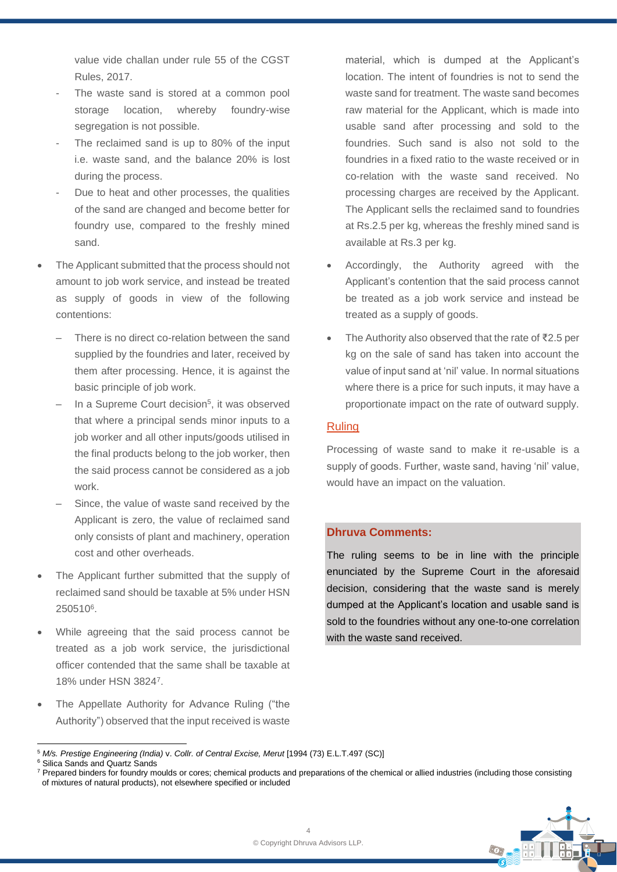value vide challan under rule 55 of the CGST Rules, 2017.

- The waste sand is stored at a common pool storage location, whereby foundry-wise segregation is not possible.
- The reclaimed sand is up to 80% of the input i.e. waste sand, and the balance 20% is lost during the process.
- Due to heat and other processes, the qualities of the sand are changed and become better for foundry use, compared to the freshly mined sand.
- The Applicant submitted that the process should not amount to job work service, and instead be treated as supply of goods in view of the following contentions:
	- There is no direct co-relation between the sand supplied by the foundries and later, received by them after processing. Hence, it is against the basic principle of job work.
	- In a Supreme Court decision<sup>5</sup>, it was observed that where a principal sends minor inputs to a job worker and all other inputs/goods utilised in the final products belong to the job worker, then the said process cannot be considered as a job work.
	- Since, the value of waste sand received by the Applicant is zero, the value of reclaimed sand only consists of plant and machinery, operation cost and other overheads.
- The Applicant further submitted that the supply of reclaimed sand should be taxable at 5% under HSN 250510<sup>6</sup> .
- While agreeing that the said process cannot be treated as a job work service, the jurisdictional officer contended that the same shall be taxable at 18% under HSN 3824<sup>7</sup> .
- The Appellate Authority for Advance Ruling ("the Authority") observed that the input received is waste

material, which is dumped at the Applicant's location. The intent of foundries is not to send the waste sand for treatment. The waste sand becomes raw material for the Applicant, which is made into usable sand after processing and sold to the foundries. Such sand is also not sold to the foundries in a fixed ratio to the waste received or in co-relation with the waste sand received. No processing charges are received by the Applicant. The Applicant sells the reclaimed sand to foundries at Rs.2.5 per kg, whereas the freshly mined sand is available at Rs.3 per kg.

- Accordingly, the Authority agreed with the Applicant's contention that the said process cannot be treated as a job work service and instead be treated as a supply of goods.
- The Authority also observed that the rate of ₹2.5 per kg on the sale of sand has taken into account the value of input sand at 'nil' value. In normal situations where there is a price for such inputs, it may have a proportionate impact on the rate of outward supply.

# Ruling

Processing of waste sand to make it re-usable is a supply of goods. Further, waste sand, having 'nil' value, would have an impact on the valuation.

## **Dhruva Comments:**

The ruling seems to be in line with the principle enunciated by the Supreme Court in the aforesaid decision, considering that the waste sand is merely dumped at the Applicant's location and usable sand is sold to the foundries without any one-to-one correlation with the waste sand received.

<sup>&</sup>lt;sup>7</sup> Prepared binders for foundry moulds or cores; chemical products and preparations of the chemical or allied industries (including those consisting of mixtures of natural products), not elsewhere specified or included



<sup>5</sup> *M/s. Prestige Engineering (India)* v. *Collr. of Central Excise, Merut* [1994 (73) E.L.T.497 (SC)]

<sup>6</sup> Silica Sands and Quartz Sands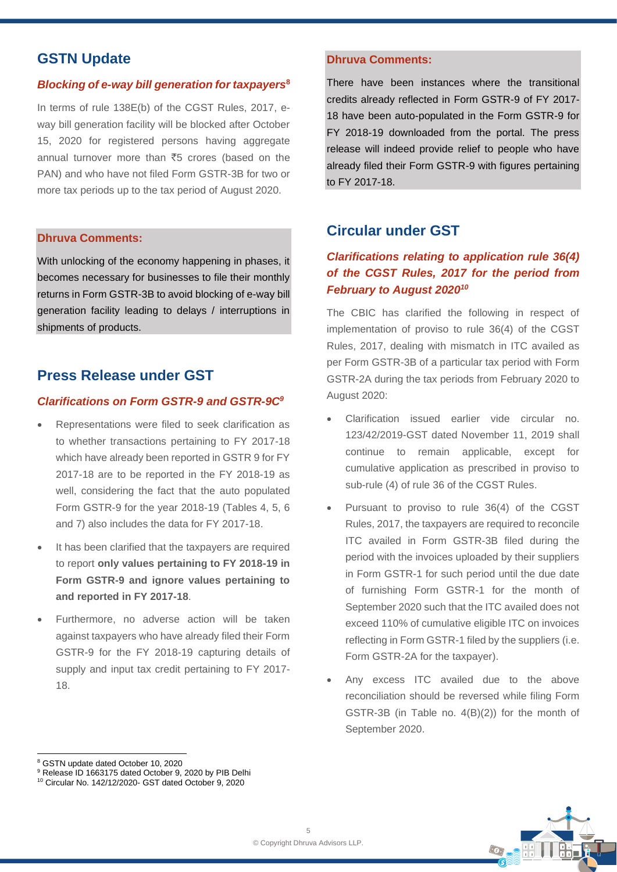# **GSTN Update**

#### *Blocking of e-way bill generation for taxpayers***<sup>8</sup>**

In terms of rule 138E(b) of the CGST Rules, 2017, eway bill generation facility will be blocked after October 15, 2020 for registered persons having aggregate annual turnover more than  $\overline{55}$  crores (based on the PAN) and who have not filed Form GSTR-3B for two or more tax periods up to the tax period of August 2020.

#### **Dhruva Comments:**

With unlocking of the economy happening in phases, it becomes necessary for businesses to file their monthly returns in Form GSTR-3B to avoid blocking of e-way bill generation facility leading to delays / interruptions in shipments of products.

# **Press Release under GST**

#### *Clarifications on Form GSTR-9 and GSTR-9C<sup>9</sup>*

- Representations were filed to seek clarification as to whether transactions pertaining to FY 2017-18 which have already been reported in GSTR 9 for FY 2017-18 are to be reported in the FY 2018-19 as well, considering the fact that the auto populated Form GSTR-9 for the year 2018-19 (Tables 4, 5, 6 and 7) also includes the data for FY 2017-18.
- It has been clarified that the taxpayers are required to report **only values pertaining to FY 2018-19 in Form GSTR-9 and ignore values pertaining to and reported in FY 2017-18**.
- Furthermore, no adverse action will be taken against taxpayers who have already filed their Form GSTR-9 for the FY 2018-19 capturing details of supply and input tax credit pertaining to FY 2017- 18.

### **Dhruva Comments:**

There have been instances where the transitional credits already reflected in Form GSTR-9 of FY 2017- 18 have been auto-populated in the Form GSTR-9 for FY 2018-19 downloaded from the portal. The press release will indeed provide relief to people who have already filed their Form GSTR-9 with figures pertaining to FY 2017-18.

# **Circular under GST**

# *Clarifications relating to application rule 36(4) of the CGST Rules, 2017 for the period from February to August 2020<sup>10</sup>*

The CBIC has clarified the following in respect of implementation of proviso to rule 36(4) of the CGST Rules, 2017, dealing with mismatch in ITC availed as per Form GSTR-3B of a particular tax period with Form GSTR-2A during the tax periods from February 2020 to August 2020:

- Clarification issued earlier vide circular no. 123/42/2019-GST dated November 11, 2019 shall continue to remain applicable, except for cumulative application as prescribed in proviso to sub-rule (4) of rule 36 of the CGST Rules.
- Pursuant to proviso to rule 36(4) of the CGST Rules, 2017, the taxpayers are required to reconcile ITC availed in Form GSTR-3B filed during the period with the invoices uploaded by their suppliers in Form GSTR-1 for such period until the due date of furnishing Form GSTR-1 for the month of September 2020 such that the ITC availed does not exceed 110% of cumulative eligible ITC on invoices reflecting in Form GSTR-1 filed by the suppliers (i.e. Form GSTR-2A for the taxpayer).
- Any excess ITC availed due to the above reconciliation should be reversed while filing Form GSTR-3B (in Table no. 4(B)(2)) for the month of September 2020.



<sup>8</sup> GSTN update dated October 10, 2020

<sup>&</sup>lt;sup>9</sup> Release ID 1663175 dated October 9, 2020 by PIB Delhi

<sup>10</sup> Circular No. 142/12/2020- GST dated October 9, 2020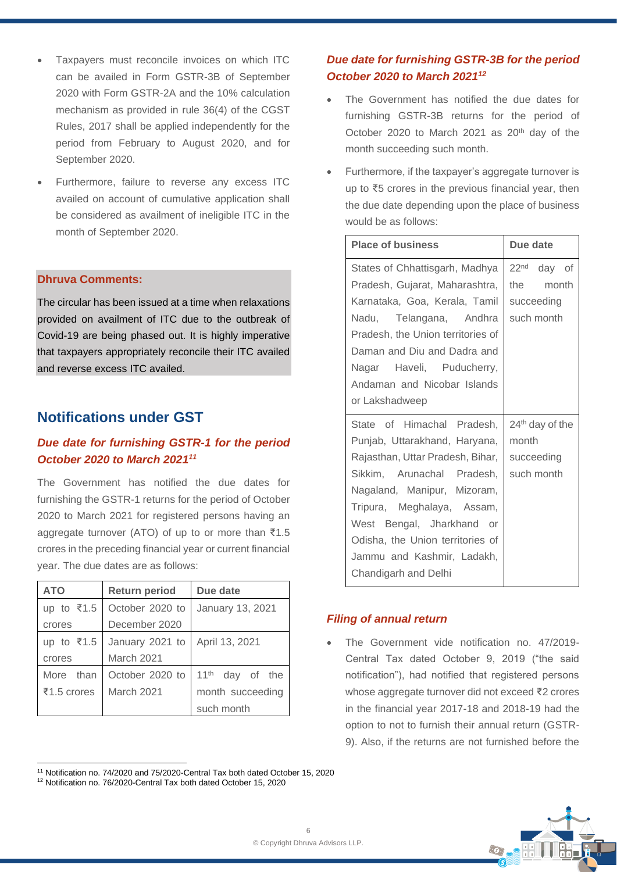- Taxpayers must reconcile invoices on which ITC can be availed in Form GSTR-3B of September 2020 with Form GSTR-2A and the 10% calculation mechanism as provided in rule 36(4) of the CGST Rules, 2017 shall be applied independently for the period from February to August 2020, and for September 2020.
- Furthermore, failure to reverse any excess ITC availed on account of cumulative application shall be considered as availment of ineligible ITC in the month of September 2020.

## **Dhruva Comments:**

The circular has been issued at a time when relaxations provided on availment of ITC due to the outbreak of Covid-19 are being phased out. It is highly imperative that taxpayers appropriately reconcile their ITC availed and reverse excess ITC availed.

# **Notifications under GST**

# *Due date for furnishing GSTR-1 for the period October 2020 to March 2021 11*

The Government has notified the due dates for furnishing the GSTR-1 returns for the period of October 2020 to March 2021 for registered persons having an aggregate turnover (ATO) of up to or more than ₹1.5 crores in the preceding financial year or current financial year. The due dates are as follows:

| <b>ATO</b>              | <b>Return period</b> | Due date                |
|-------------------------|----------------------|-------------------------|
| up to $\overline{5}1.5$ | October 2020 to      | January 13, 2021        |
| crores                  | December 2020        |                         |
| up to $\bar{\xi}$ 1.5   | January 2021 to      | April 13, 2021          |
| crores                  | <b>March 2021</b>    |                         |
| More than               | October 2020 to      | $11^{th}$<br>day of the |
| ₹1.5 crores             | <b>March 2021</b>    | month succeeding        |
|                         |                      | such month              |

# *Due date for furnishing GSTR-3B for the period October 2020 to March 2021<sup>12</sup>*

- The Government has notified the due dates for furnishing GSTR-3B returns for the period of October 2020 to March 2021 as  $20<sup>th</sup>$  day of the month succeeding such month.
- Furthermore, if the taxpayer's aggregate turnover is up to ₹5 crores in the previous financial year, then the due date depending upon the place of business would be as follows:

| <b>Place of business</b>          | Due date                    |
|-----------------------------------|-----------------------------|
| States of Chhattisgarh, Madhya    | 22 <sup>nd</sup> day of     |
| Pradesh, Gujarat, Maharashtra,    | the month                   |
| Karnataka, Goa, Kerala, Tamil     | succeeding                  |
| Nadu, Telangana, Andhra           | such month                  |
| Pradesh, the Union territories of |                             |
| Daman and Diu and Dadra and       |                             |
| Nagar Haveli, Puducherry,         |                             |
| Andaman and Nicobar Islands       |                             |
| or Lakshadweep                    |                             |
| State of Himachal Pradesh,        | 24 <sup>th</sup> day of the |
| Punjab, Uttarakhand, Haryana,     | month                       |
| Rajasthan, Uttar Pradesh, Bihar,  | succeeding                  |
| Sikkim, Arunachal Pradesh,        | such month                  |
| Nagaland, Manipur, Mizoram,       |                             |
| Tripura, Meghalaya, Assam,        |                             |
| West Bengal, Jharkhand or         |                             |
| Odisha, the Union territories of  |                             |
| Jammu and Kashmir, Ladakh,        |                             |
| Chandigarh and Delhi              |                             |

## *Filing of annual return*

• The Government vide notification no. 47/2019- Central Tax dated October 9, 2019 ("the said notification"), had notified that registered persons whose aggregate turnover did not exceed ₹2 crores in the financial year 2017-18 and 2018-19 had the option to not to furnish their annual return (GSTR-9). Also, if the returns are not furnished before the



<sup>11</sup> Notification no. 74/2020 and 75/2020-Central Tax both dated October 15, 2020

<sup>12</sup> Notification no. 76/2020-Central Tax both dated October 15, 2020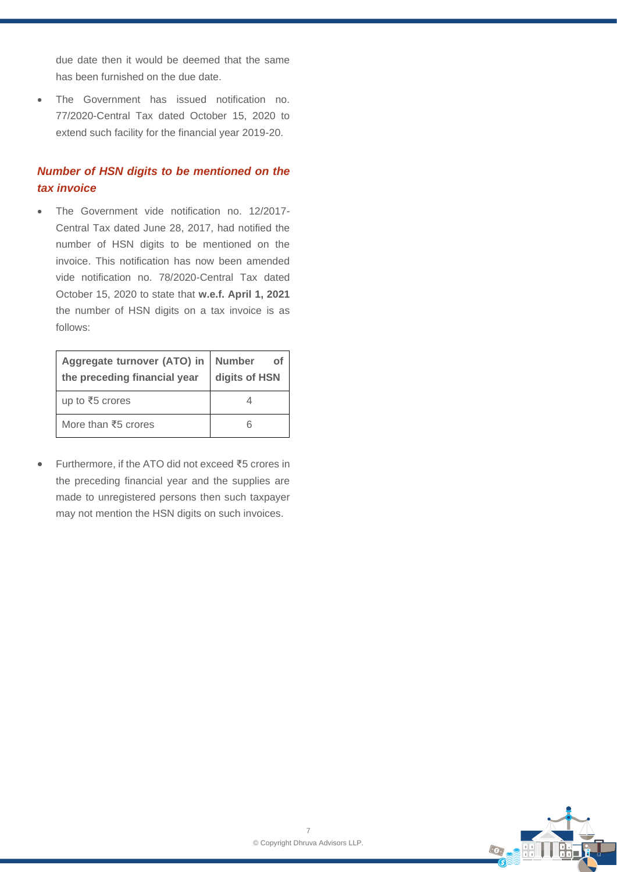due date then it would be deemed that the same has been furnished on the due date.

• The Government has issued notification no. 77/2020-Central Tax dated October 15, 2020 to extend such facility for the financial year 2019-20.

# *Number of HSN digits to be mentioned on the tax invoice*

• The Government vide notification no. 12/2017- Central Tax dated June 28, 2017, had notified the number of HSN digits to be mentioned on the invoice. This notification has now been amended vide notification no. 78/2020-Central Tax dated October 15, 2020 to state that **w.e.f. April 1, 2021** the number of HSN digits on a tax invoice is as follows:

| Aggregate turnover (ATO) in<br>the preceding financial year | <b>Number</b><br>of<br>digits of HSN |
|-------------------------------------------------------------|--------------------------------------|
| up to ₹5 crores                                             |                                      |
| More than $\overline{5}5$ crores                            |                                      |

• Furthermore, if the ATO did not exceed ₹5 crores in the preceding financial year and the supplies are made to unregistered persons then such taxpayer may not mention the HSN digits on such invoices.